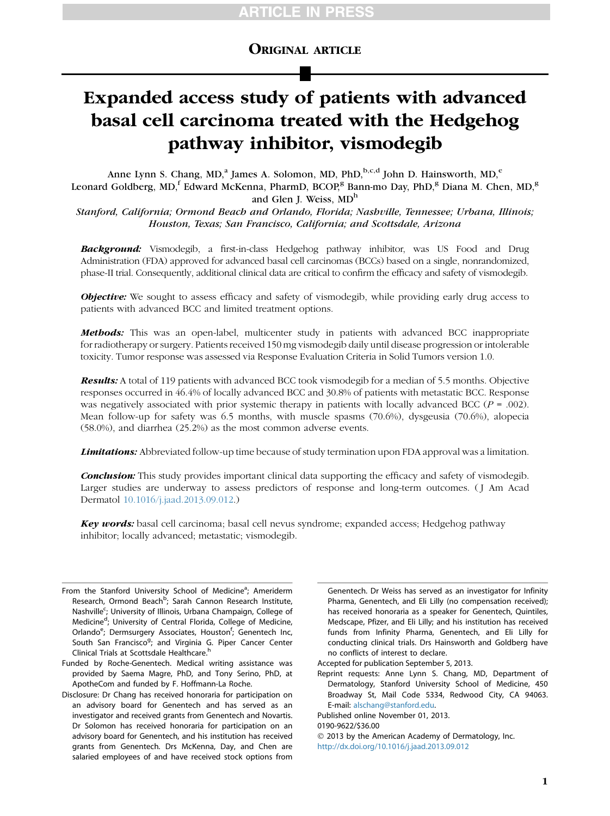# ORIGINAL ARTICLE

# Expanded access study of patients with advanced basal cell carcinoma treated with the Hedgehog pathway inhibitor, vismodegib

Anne Lynn S. Chang, MD,<sup>a</sup> James A. Solomon, MD, PhD,<sup>b,c,d</sup> John D. Hainsworth, MD,<sup>e</sup> Leonard Goldberg, MD,<sup>f</sup> Edward McKenna, PharmD, BCOP,<sup>g</sup> Bann-mo Day, PhD,<sup>g</sup> Diana M. Chen, MD,<sup>g</sup> and Glen J. Weiss, MD<sup>h</sup>

Stanford, California; Ormond Beach and Orlando, Florida; Nashville, Tennessee; Urbana, Illinois; Houston, Texas; San Francisco, California; and Scottsdale, Arizona

**Background:** Vismodegib, a first-in-class Hedgehog pathway inhibitor, was US Food and Drug Administration (FDA) approved for advanced basal cell carcinomas (BCCs) based on a single, nonrandomized, phase-II trial. Consequently, additional clinical data are critical to confirm the efficacy and safety of vismodegib.

**Objective:** We sought to assess efficacy and safety of vismodegib, while providing early drug access to patients with advanced BCC and limited treatment options.

**Methods:** This was an open-label, multicenter study in patients with advanced BCC inappropriate for radiotherapy or surgery. Patients received 150 mg vismodegib daily until disease progression or intolerable toxicity. Tumor response was assessed via Response Evaluation Criteria in Solid Tumors version 1.0.

**Results:** A total of 119 patients with advanced BCC took vismodegib for a median of 5.5 months. Objective responses occurred in 46.4% of locally advanced BCC and 30.8% of patients with metastatic BCC. Response was negatively associated with prior systemic therapy in patients with locally advanced BCC ( $P = .002$ ). Mean follow-up for safety was 6.5 months, with muscle spasms (70.6%), dysgeusia (70.6%), alopecia (58.0%), and diarrhea (25.2%) as the most common adverse events.

**Limitations:** Abbreviated follow-up time because of study termination upon FDA approval was a limitation.

**Conclusion:** This study provides important clinical data supporting the efficacy and safety of vismodegib. Larger studies are underway to assess predictors of response and long-term outcomes. ( J Am Acad Dermatol [10.1016/j.jaad.2013.09.012.](http://dx.doi.org/10.1016/j.jaad.2013.09.012))

**Key words:** basal cell carcinoma; basal cell nevus syndrome; expanded access; Hedgehog pathway inhibitor; locally advanced; metastatic; vismodegib.

From the Stanford University School of Medicine<sup>a</sup>; Ameriderm Research, Ormond Beach<sup>b</sup>; Sarah Cannon Research Institute, Nashville<sup>c</sup>; University of Illinois, Urbana Champaign, College of Medicine<sup>d</sup>; University of Central Florida, College of Medicine, Orlando<sup>e</sup>; Dermsurgery Associates, Houston<sup>f</sup>; Genentech Inc, South San Francisco<sup>g</sup>; and Virginia G. Piper Cancer Center Clinical Trials at Scottsdale Healthcare.<sup>h</sup>

Funded by Roche-Genentech. Medical writing assistance was provided by Saema Magre, PhD, and Tony Serino, PhD, at ApotheCom and funded by F. Hoffmann-La Roche.

Disclosure: Dr Chang has received honoraria for participation on an advisory board for Genentech and has served as an investigator and received grants from Genentech and Novartis. Dr Solomon has received honoraria for participation on an advisory board for Genentech, and his institution has received grants from Genentech. Drs McKenna, Day, and Chen are salaried employees of and have received stock options from

Genentech. Dr Weiss has served as an investigator for Infinity Pharma, Genentech, and Eli Lilly (no compensation received); has received honoraria as a speaker for Genentech, Quintiles, Medscape, Pfizer, and Eli Lilly; and his institution has received funds from Infinity Pharma, Genentech, and Eli Lilly for conducting clinical trials. Drs Hainsworth and Goldberg have no conflicts of interest to declare.

Accepted for publication September 5, 2013.

Reprint requests: Anne Lynn S. Chang, MD, Department of Dermatology, Stanford University School of Medicine, 450 Broadway St, Mail Code 5334, Redwood City, CA 94063. E-mail: [alschang@stanford.edu.](mailto:alschang@stanford.edu)

Published online November 01, 2013.

<sup>0190-9622/\$36.00</sup>

2013 by the American Academy of Dermatology, Inc.

<http://dx.doi.org/10.1016/j.jaad.2013.09.012>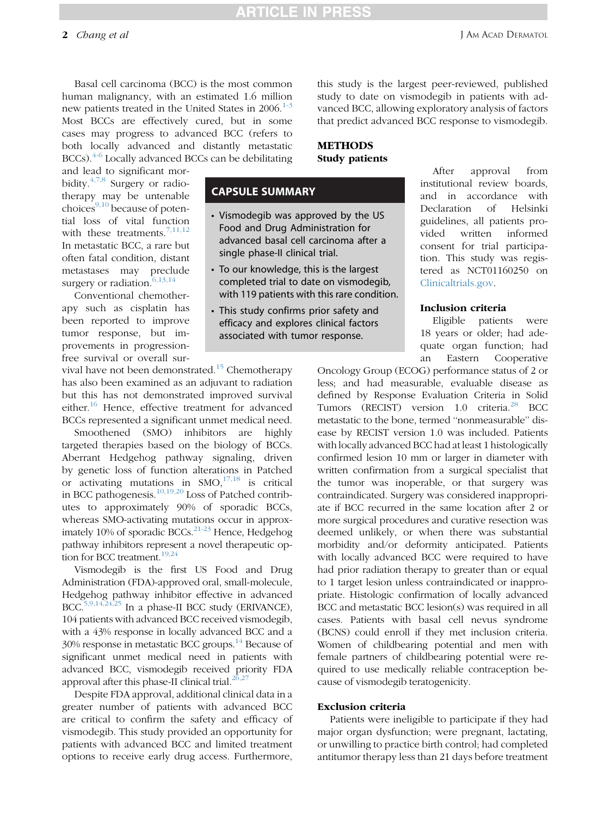Basal cell carcinoma (BCC) is the most common human malignancy, with an estimated 1.6 million new patients treated in the United States in  $2006$ <sup>[1-3](#page-8-0)</sup> Most BCCs are effectively cured, but in some cases may progress to advanced BCC (refers to both locally advanced and distantly metastatic  $BCCs$ ).  $4-6$  Locally advanced BCCs can be debilitating

and lead to significant morbidity. $4,7,8$  Surgery or radiotherapy may be untenable choices $9,10$  because of potential loss of vital function with these treatments.<sup>[7,11,12](#page-8-0)</sup> In metastatic BCC, a rare but often fatal condition, distant metastases may preclude surgery or radiation.<sup>[6,13,14](#page-8-0)</sup>

Conventional chemotherapy such as cisplatin has been reported to improve tumor response, but improvements in progressionfree survival or overall sur-

vival have not been demonstrated.<sup>[15](#page-8-0)</sup> Chemotherapy has also been examined as an adjuvant to radiation but this has not demonstrated improved survival either.<sup>16</sup> Hence, effective treatment for advanced BCCs represented a significant unmet medical need.

Smoothened (SMO) inhibitors are highly targeted therapies based on the biology of BCCs. Aberrant Hedgehog pathway signaling, driven by genetic loss of function alterations in Patched or activating mutations in  $SMO<sub>1</sub><sup>17,18</sup>$  $SMO<sub>1</sub><sup>17,18</sup>$  $SMO<sub>1</sub><sup>17,18</sup>$  is critical in BCC pathogenesis. $10,19,20$  Loss of Patched contributes to approximately 90% of sporadic BCCs, whereas SMO-activating mutations occur in approximately 10% of sporadic BCCs. $^{21-23}$  $^{21-23}$  $^{21-23}$  Hence, Hedgehog pathway inhibitors represent a novel therapeutic option for BCC treatment.<sup>19,24</sup>

Vismodegib is the first US Food and Drug Administration (FDA)-approved oral, small-molecule, Hedgehog pathway inhibitor effective in advanced BCC.<sup>5,9,14,24,25</sup> In a phase-II BCC study (ERIVANCE), 104 patients with advanced BCC received vismodegib, with a 43% response in locally advanced BCC and a  $30\%$  response in metastatic BCC groups.<sup>14</sup> Because of significant unmet medical need in patients with advanced BCC, vismodegib received priority FDA approval after this phase-II clinical trial. $26,27$ 

Despite FDA approval, additional clinical data in a greater number of patients with advanced BCC are critical to confirm the safety and efficacy of vismodegib. This study provided an opportunity for patients with advanced BCC and limited treatment options to receive early drug access. Furthermore,

this study is the largest peer-reviewed, published study to date on vismodegib in patients with advanced BCC, allowing exploratory analysis of factors that predict advanced BCC response to vismodegib.

### METHODS Study patients

## CAPSULE SUMMARY

- Vismodegib was approved by the US Food and Drug Administration for advanced basal cell carcinoma after a single phase-II clinical trial.
- To our knowledge, this is the largest completed trial to date on vismodegib, with 119 patients with this rare condition.
- This study confirms prior safety and efficacy and explores clinical factors associated with tumor response.

After approval from institutional review boards, and in accordance with Declaration of Helsinki guidelines, all patients provided written informed consent for trial participation. This study was registered as NCT01160250 on [Clinicaltrials.gov](http://Clinicaltrials.gov).

### Inclusion criteria

Eligible patients were 18 years or older; had adequate organ function; had an Eastern Cooperative

Oncology Group (ECOG) performance status of 2 or less; and had measurable, evaluable disease as defined by Response Evaluation Criteria in Solid Tumors (RECIST) version 1.0 criteria.<sup>28</sup> BCC metastatic to the bone, termed ''nonmeasurable'' disease by RECIST version 1.0 was included. Patients with locally advanced BCC had at least 1 histologically confirmed lesion 10 mm or larger in diameter with written confirmation from a surgical specialist that the tumor was inoperable, or that surgery was contraindicated. Surgery was considered inappropriate if BCC recurred in the same location after 2 or more surgical procedures and curative resection was deemed unlikely, or when there was substantial morbidity and/or deformity anticipated. Patients with locally advanced BCC were required to have had prior radiation therapy to greater than or equal to 1 target lesion unless contraindicated or inappropriate. Histologic confirmation of locally advanced BCC and metastatic BCC lesion(s) was required in all cases. Patients with basal cell nevus syndrome (BCNS) could enroll if they met inclusion criteria. Women of childbearing potential and men with female partners of childbearing potential were required to use medically reliable contraception because of vismodegib teratogenicity.

### Exclusion criteria

Patients were ineligible to participate if they had major organ dysfunction; were pregnant, lactating, or unwilling to practice birth control; had completed antitumor therapy less than 21 days before treatment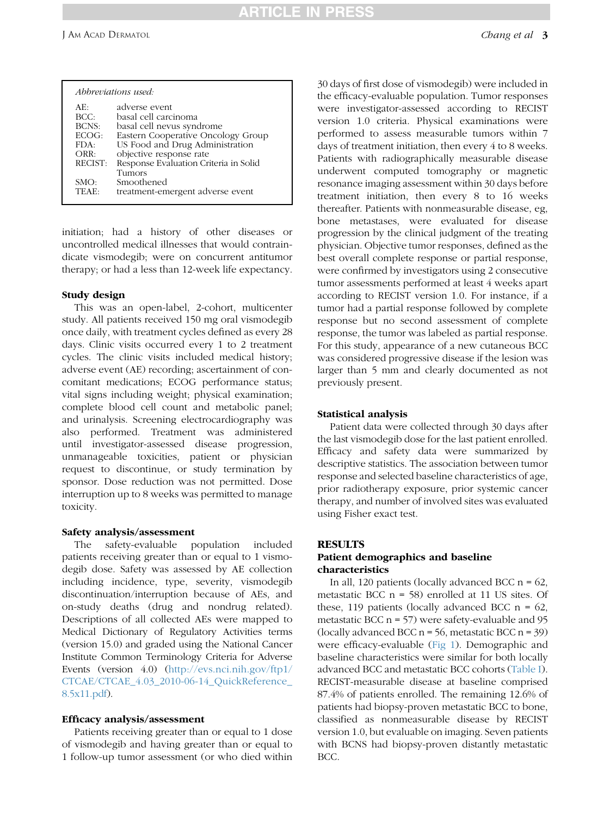# TICLE IN PRE

| AE∙     | adverse event                         |
|---------|---------------------------------------|
| BCC:    | basal cell carcinoma                  |
| BCNS:   | basal cell nevus syndrome             |
| ECOG:   | Eastern Cooperative Oncology Group    |
| FDA:    | US Food and Drug Administration       |
| ORR:    | objective response rate               |
| RECIST: | Response Evaluation Criteria in Solid |
|         | Tumors                                |
| SMO:    | Smoothened                            |
| TEAE:   | treatment-emergent adverse event      |

initiation; had a history of other diseases or uncontrolled medical illnesses that would contraindicate vismodegib; were on concurrent antitumor therapy; or had a less than 12-week life expectancy.

### Study design

This was an open-label, 2-cohort, multicenter study. All patients received 150 mg oral vismodegib once daily, with treatment cycles defined as every 28 days. Clinic visits occurred every 1 to 2 treatment cycles. The clinic visits included medical history; adverse event (AE) recording; ascertainment of concomitant medications; ECOG performance status; vital signs including weight; physical examination; complete blood cell count and metabolic panel; and urinalysis. Screening electrocardiography was also performed. Treatment was administered until investigator-assessed disease progression, unmanageable toxicities, patient or physician request to discontinue, or study termination by sponsor. Dose reduction was not permitted. Dose interruption up to 8 weeks was permitted to manage toxicity.

### Safety analysis/assessment

The safety-evaluable population included patients receiving greater than or equal to 1 vismodegib dose. Safety was assessed by AE collection including incidence, type, severity, vismodegib discontinuation/interruption because of AEs, and on-study deaths (drug and nondrug related). Descriptions of all collected AEs were mapped to Medical Dictionary of Regulatory Activities terms (version 15.0) and graded using the National Cancer Institute Common Terminology Criteria for Adverse Events (version 4.0) ([http://evs.nci.nih.gov/ftp1/](http://evs.nci.nih.gov/ftp1/CTCAE/CTCAE_4.03_2010-06-14_QuickReference_8.5x11.pdf) [CTCAE/CTCAE\\_4.03\\_2010-06-14\\_QuickReference\\_](http://evs.nci.nih.gov/ftp1/CTCAE/CTCAE_4.03_2010-06-14_QuickReference_8.5x11.pdf) [8.5x11.pdf](http://evs.nci.nih.gov/ftp1/CTCAE/CTCAE_4.03_2010-06-14_QuickReference_8.5x11.pdf)).

### Efficacy analysis/assessment

Patients receiving greater than or equal to 1 dose of vismodegib and having greater than or equal to 1 follow-up tumor assessment (or who died within

30 days of first dose of vismodegib) were included in the efficacy-evaluable population. Tumor responses were investigator-assessed according to RECIST version 1.0 criteria. Physical examinations were performed to assess measurable tumors within 7 days of treatment initiation, then every 4 to 8 weeks. Patients with radiographically measurable disease underwent computed tomography or magnetic resonance imaging assessment within 30 days before treatment initiation, then every 8 to 16 weeks thereafter. Patients with nonmeasurable disease, eg, bone metastases, were evaluated for disease progression by the clinical judgment of the treating physician. Objective tumor responses, defined as the best overall complete response or partial response, were confirmed by investigators using 2 consecutive tumor assessments performed at least 4 weeks apart according to RECIST version 1.0. For instance, if a tumor had a partial response followed by complete response but no second assessment of complete response, the tumor was labeled as partial response. For this study, appearance of a new cutaneous BCC was considered progressive disease if the lesion was larger than 5 mm and clearly documented as not previously present.

### Statistical analysis

Patient data were collected through 30 days after the last vismodegib dose for the last patient enrolled. Efficacy and safety data were summarized by descriptive statistics. The association between tumor response and selected baseline characteristics of age, prior radiotherapy exposure, prior systemic cancer therapy, and number of involved sites was evaluated using Fisher exact test.

### **RESULTS**

### Patient demographics and baseline characteristics

In all, 120 patients (locally advanced BCC  $n = 62$ , metastatic BCC n = 58) enrolled at 11 US sites. Of these, 119 patients (locally advanced BCC  $n = 62$ , metastatic BCC  $n = 57$ ) were safety-evaluable and 95 (locally advanced BCC n = 56, metastatic BCC n = 39) were efficacy-evaluable ([Fig 1\)](#page-3-0). Demographic and baseline characteristics were similar for both locally advanced BCC and metastatic BCC cohorts [\(Table I](#page-4-0)). RECIST-measurable disease at baseline comprised 87.4% of patients enrolled. The remaining 12.6% of patients had biopsy-proven metastatic BCC to bone, classified as nonmeasurable disease by RECIST version 1.0, but evaluable on imaging. Seven patients with BCNS had biopsy-proven distantly metastatic BCC.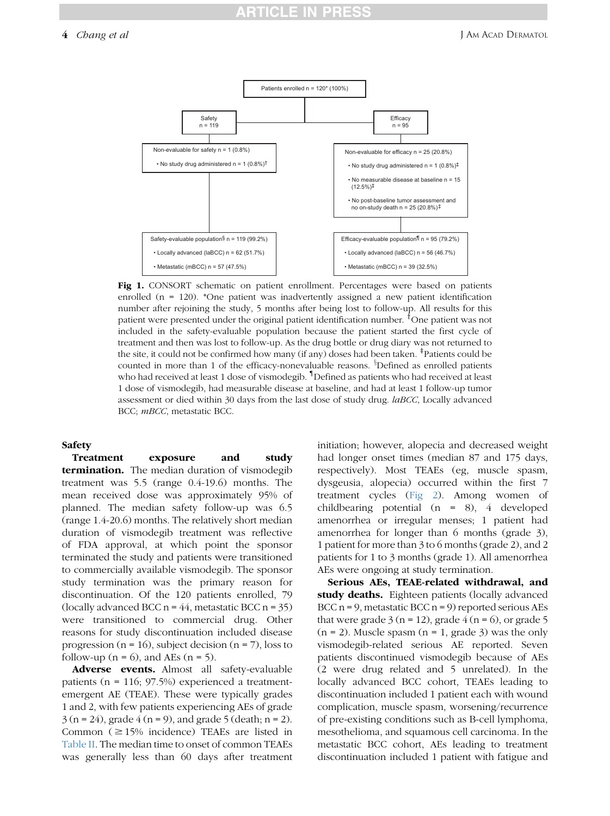# **:TICLE IN PRE**

<span id="page-3-0"></span>4 *Chang et al* J Am Acad Dermatol



Fig 1. CONSORT schematic on patient enrollment. Percentages were based on patients enrolled (n = 120). \*One patient was inadvertently assigned a new patient identification number after rejoining the study, 5 months after being lost to follow-up. All results for this patient were presented under the original patient identification number. <sup>†</sup>One patient was not included in the safety-evaluable population because the patient started the first cycle of treatment and then was lost to follow-up. As the drug bottle or drug diary was not returned to the site, it could not be confirmed how many (if any) doses had been taken.  ${}^{\ddagger}$ Patients could be counted in more than 1 of the efficacy-nonevaluable reasons. <sup>8</sup>Defined as enrolled patients who had received at least 1 dose of vismodegib. { Defined as patients who had received at least 1 dose of vismodegib, had measurable disease at baseline, and had at least 1 follow-up tumor assessment or died within 30 days from the last dose of study drug. *laBCC*, Locally advanced BCC; mBCC, metastatic BCC.

### Safety

Treatment exposure and study termination. The median duration of vismodegib treatment was 5.5 (range 0.4-19.6) months. The mean received dose was approximately 95% of planned. The median safety follow-up was 6.5 (range 1.4-20.6) months. The relatively short median duration of vismodegib treatment was reflective of FDA approval, at which point the sponsor terminated the study and patients were transitioned to commercially available vismodegib. The sponsor study termination was the primary reason for discontinuation. Of the 120 patients enrolled, 79 (locally advanced BCC  $n = 44$ , metastatic BCC  $n = 35$ ) were transitioned to commercial drug. Other reasons for study discontinuation included disease progression ( $n = 16$ ), subject decision ( $n = 7$ ), loss to follow-up ( $n = 6$ ), and AEs ( $n = 5$ ).

Adverse events. Almost all safety-evaluable patients (n = 116; 97.5%) experienced a treatmentemergent AE (TEAE). These were typically grades 1 and 2, with few patients experiencing AEs of grade  $3 (n = 24)$ , grade  $4 (n = 9)$ , and grade  $5 (death; n = 2)$ . Common ( $\geq$ 15% incidence) TEAEs are listed in [Table II](#page-5-0). The median time to onset of common TEAEs was generally less than 60 days after treatment

initiation; however, alopecia and decreased weight had longer onset times (median 87 and 175 days, respectively). Most TEAEs (eg, muscle spasm, dysgeusia, alopecia) occurred within the first 7 treatment cycles ([Fig 2\)](#page-5-0). Among women of childbearing potential (n = 8), 4 developed amenorrhea or irregular menses; 1 patient had amenorrhea for longer than 6 months (grade 3), 1 patient for more than 3 to 6 months (grade 2), and 2 patients for 1 to 3 months (grade 1). All amenorrhea AEs were ongoing at study termination.

Serious AEs, TEAE-related withdrawal, and study deaths. Eighteen patients (locally advanced BCC  $n = 9$ , metastatic BCC  $n = 9$ ) reported serious AEs that were grade  $3 (n = 12)$ , grade  $4 (n = 6)$ , or grade  $5$  $(n = 2)$ . Muscle spasm  $(n = 1, \text{ grade } 3)$  was the only vismodegib-related serious AE reported. Seven patients discontinued vismodegib because of AEs (2 were drug related and 5 unrelated). In the locally advanced BCC cohort, TEAEs leading to discontinuation included 1 patient each with wound complication, muscle spasm, worsening/recurrence of pre-existing conditions such as B-cell lymphoma, mesothelioma, and squamous cell carcinoma. In the metastatic BCC cohort, AEs leading to treatment discontinuation included 1 patient with fatigue and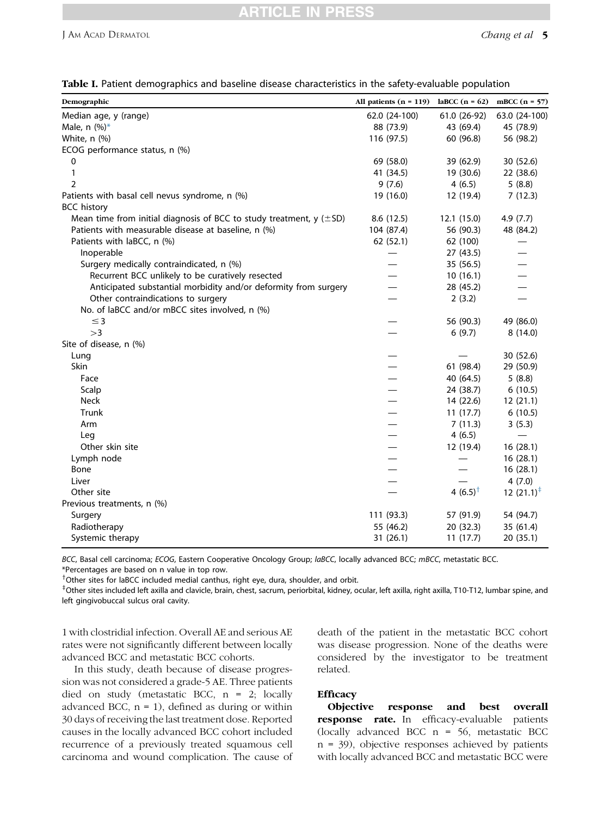# CI E I

<span id="page-4-0"></span>

|  |  | Table I. Patient demographics and baseline disease characteristics in the safety-evaluable population |  |  |
|--|--|-------------------------------------------------------------------------------------------------------|--|--|
|  |  |                                                                                                       |  |  |

| Demographic                                                                 | All patients $(n = 119)$ | laBCC $(n = 62)$ | mBCC $(n = 57)$          |
|-----------------------------------------------------------------------------|--------------------------|------------------|--------------------------|
| Median age, y (range)                                                       | 62.0 (24-100)            | 61.0 (26-92)     | 63.0 (24-100)            |
| Male, n $(\%)^*$                                                            | 88 (73.9)                | 43 (69.4)        | 45 (78.9)                |
| White, n (%)                                                                | 116 (97.5)               | 60 (96.8)        | 56 (98.2)                |
| ECOG performance status, n (%)                                              |                          |                  |                          |
| 0                                                                           | 69 (58.0)                | 39 (62.9)        | 30 (52.6)                |
| 1                                                                           | 41 (34.5)                | 19 (30.6)        | 22 (38.6)                |
| $\overline{2}$                                                              | 9(7.6)                   | 4(6.5)           | 5(8.8)                   |
| Patients with basal cell nevus syndrome, n (%)                              | 19 (16.0)                | 12 (19.4)        | 7(12.3)                  |
| <b>BCC history</b>                                                          |                          |                  |                          |
| Mean time from initial diagnosis of BCC to study treatment, $y$ ( $\pm$ SD) | 8.6(12.5)                | 12.1 (15.0)      | 4.9(7.7)                 |
| Patients with measurable disease at baseline, n (%)                         | 104 (87.4)               | 56 (90.3)        | 48 (84.2)                |
| Patients with laBCC, n (%)                                                  | 62 (52.1)                | 62 (100)         |                          |
| Inoperable                                                                  |                          | 27 (43.5)        |                          |
| Surgery medically contraindicated, n (%)                                    |                          | 35 (56.5)        |                          |
| Recurrent BCC unlikely to be curatively resected                            |                          | 10(16.1)         |                          |
| Anticipated substantial morbidity and/or deformity from surgery             |                          | 28 (45.2)        |                          |
| Other contraindications to surgery                                          |                          | 2(3.2)           |                          |
| No. of laBCC and/or mBCC sites involved, n (%)                              |                          |                  |                          |
| $\leq$ 3                                                                    |                          | 56 (90.3)        | 49 (86.0)                |
| >3                                                                          |                          | 6(9.7)           | 8(14.0)                  |
| Site of disease, n (%)                                                      |                          |                  |                          |
| Lung                                                                        |                          |                  | 30 (52.6)                |
| Skin                                                                        |                          | 61 (98.4)        | 29 (50.9)                |
| Face                                                                        |                          | 40 (64.5)        | 5(8.8)                   |
| Scalp                                                                       |                          | 24 (38.7)        | 6(10.5)                  |
| <b>Neck</b>                                                                 |                          | 14 (22.6)        | 12(21.1)                 |
| Trunk                                                                       |                          | 11(17.7)         | 6(10.5)                  |
| Arm                                                                         |                          | 7(11.3)          | 3(5.3)                   |
| Leg                                                                         |                          | 4(6.5)           | $\overline{\phantom{0}}$ |
| Other skin site                                                             |                          | 12 (19.4)        | 16(28.1)                 |
| Lymph node                                                                  |                          |                  | 16(28.1)                 |
| Bone                                                                        |                          |                  | 16(28.1)                 |
| Liver                                                                       |                          |                  | 4(7.0)                   |
| Other site                                                                  |                          | 4 $(6.5)^{+}$    | 12 $(21.1)^{\ddagger}$   |
| Previous treatments, n (%)                                                  |                          |                  |                          |
| Surgery                                                                     | 111 (93.3)               | 57 (91.9)        | 54 (94.7)                |
| Radiotherapy                                                                | 55 (46.2)                | 20 (32.3)        | 35 (61.4)                |
| Systemic therapy                                                            | 31 (26.1)                | 11(17.7)         | 20 (35.1)                |

BCC, Basal cell carcinoma; ECOG, Eastern Cooperative Oncology Group; laBCC, locally advanced BCC; mBCC, metastatic BCC. \*Percentages are based on n value in top row.

<sup>†</sup>Other sites for laBCC included medial canthus, right eye, dura, shoulder, and orbit.

 $^{\ddag}$ Other sites included left axilla and clavicle, brain, chest, sacrum, periorbital, kidney, ocular, left axilla, right axilla, T10-T12, lumbar spine, and left gingivobuccal sulcus oral cavity.

1 with clostridial infection. Overall AE and serious AE rates were not significantly different between locally advanced BCC and metastatic BCC cohorts.

In this study, death because of disease progression was not considered a grade-5 AE. Three patients died on study (metastatic BCC, n = 2; locally advanced BCC,  $n = 1$ ), defined as during or within 30 days of receiving the last treatment dose. Reported causes in the locally advanced BCC cohort included recurrence of a previously treated squamous cell carcinoma and wound complication. The cause of death of the patient in the metastatic BCC cohort was disease progression. None of the deaths were considered by the investigator to be treatment related.

### **Efficacy**

Objective response and best overall response rate. In efficacy-evaluable patients (locally advanced BCC n = 56, metastatic BCC n = 39), objective responses achieved by patients with locally advanced BCC and metastatic BCC were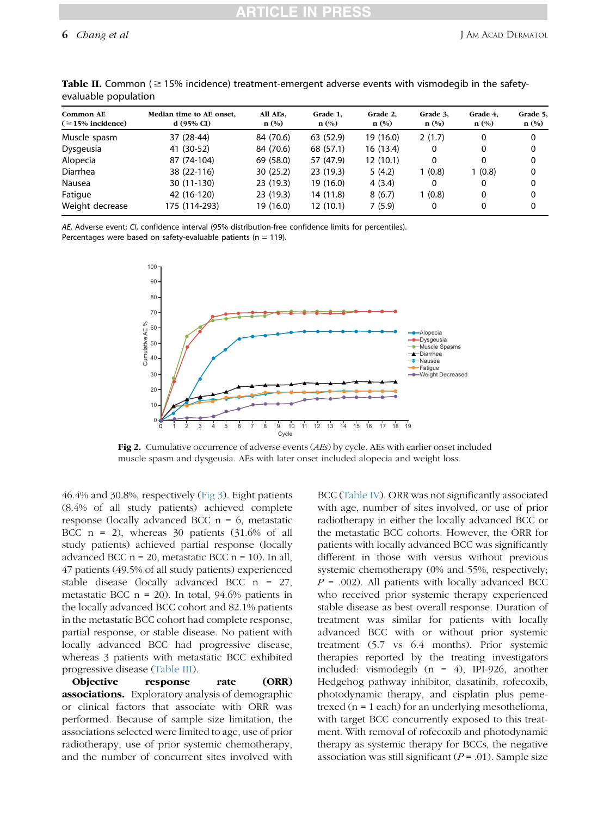| Common AE<br>$( \geq 15\%$ incidence) | Median time to AE onset,<br>d(95% CI) | All AEs,<br>$\mathbf{n}(\%)$ | Grade 1,<br>$\mathbf{n}(\%)$ | Grade 2,<br>$\mathbf{n}(\%)$ | Grade 3,<br>$\mathbf{n}(\%)$ | Grade 4,<br>$\mathbf{n}(\%)$ | Grade 5,<br>$\mathbf{n}(\%)$ |
|---------------------------------------|---------------------------------------|------------------------------|------------------------------|------------------------------|------------------------------|------------------------------|------------------------------|
| Muscle spasm                          | 37 (28-44)                            | 84 (70.6)                    | 63 (52.9)                    | 19 (16.0)                    | 2(1.7)                       | 0                            | 0                            |
| Dysgeusia                             | 41 (30-52)                            | 84 (70.6)                    | 68 (57.1)                    | 16 (13.4)                    | 0                            | 0                            | 0                            |
| Alopecia                              | 87 (74-104)                           | 69 (58.0)                    | 57 (47.9)                    | 12(10.1)                     | 0                            | 0                            | 0                            |
| Diarrhea                              | 38 (22-116)                           | 30(25.2)                     | 23(19.3)                     | 5(4.2)                       | 1(0.8)                       | 1(0.8)                       | 0                            |
| Nausea                                | 30 (11-130)                           | 23 (19.3)                    | 19 (16.0)                    | 4(3.4)                       | 0                            | 0                            | 0                            |
| Fatigue                               | 42 (16-120)                           | 23 (19.3)                    | 14 (11.8)                    | 8(6.7)                       | 1(0.8)                       | 0                            | 0                            |
| Weight decrease                       | 175 (114-293)                         | 19 (16.0)                    | 12(10.1)                     | 7(5.9)                       | 0                            | 0                            | 0                            |

<span id="page-5-0"></span>**Table II.** Common ( $\geq$  15% incidence) treatment-emergent adverse events with vismodegib in the safetyevaluable population

AE, Adverse event; CI, confidence interval (95% distribution-free confidence limits for percentiles). Percentages were based on safety-evaluable patients ( $n = 119$ ).



Fig 2. Cumulative occurrence of adverse events (AEs) by cycle. AEs with earlier onset included muscle spasm and dysgeusia. AEs with later onset included alopecia and weight loss.

46.4% and 30.8%, respectively [\(Fig 3\)](#page-6-0). Eight patients (8.4% of all study patients) achieved complete response (locally advanced BCC  $n = 6$ , metastatic BCC  $n = 2$ ), whereas 30 patients (31.6% of all study patients) achieved partial response (locally advanced BCC  $n = 20$ , metastatic BCC  $n = 10$ ). In all, 47 patients (49.5% of all study patients) experienced stable disease (locally advanced BCC n = 27, metastatic BCC  $n = 20$ ). In total, 94.6% patients in the locally advanced BCC cohort and 82.1% patients in the metastatic BCC cohort had complete response, partial response, or stable disease. No patient with locally advanced BCC had progressive disease, whereas 3 patients with metastatic BCC exhibited progressive disease [\(Table III\)](#page-6-0).

Objective response rate (ORR) associations. Exploratory analysis of demographic or clinical factors that associate with ORR was performed. Because of sample size limitation, the associations selected were limited to age, use of prior radiotherapy, use of prior systemic chemotherapy, and the number of concurrent sites involved with

BCC [\(Table IV](#page-7-0)). ORR was not significantly associated with age, number of sites involved, or use of prior radiotherapy in either the locally advanced BCC or the metastatic BCC cohorts. However, the ORR for patients with locally advanced BCC was significantly different in those with versus without previous systemic chemotherapy (0% and 55%, respectively;  $P = .002$ ). All patients with locally advanced BCC who received prior systemic therapy experienced stable disease as best overall response. Duration of treatment was similar for patients with locally advanced BCC with or without prior systemic treatment (5.7 vs 6.4 months). Prior systemic therapies reported by the treating investigators included: vismodegib (n = 4), IPI-926, another Hedgehog pathway inhibitor, dasatinib, rofecoxib, photodynamic therapy, and cisplatin plus pemetrexed (n = 1 each) for an underlying mesothelioma, with target BCC concurrently exposed to this treatment. With removal of rofecoxib and photodynamic therapy as systemic therapy for BCCs, the negative association was still significant ( $P = .01$ ). Sample size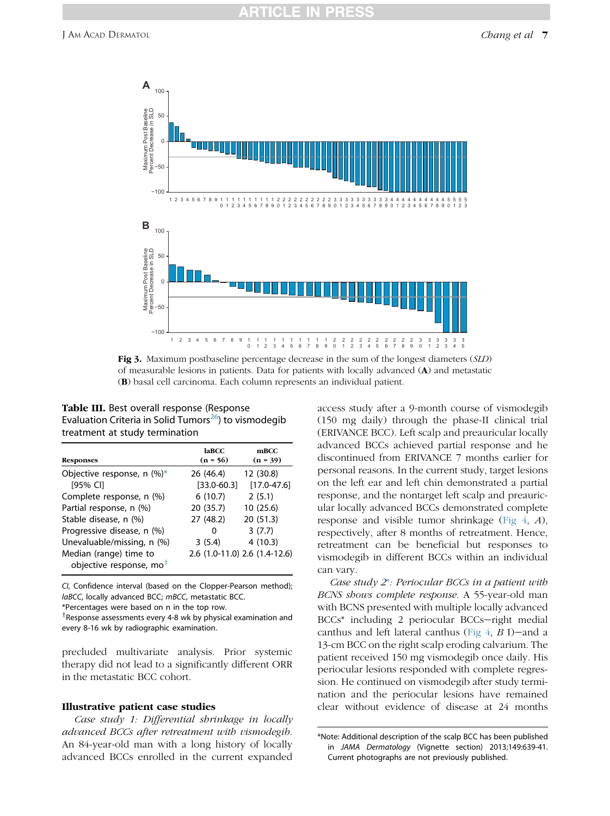<span id="page-6-0"></span>

Fig 3. Maximum postbaseline percentage decrease in the sum of the longest diameters (SLD) of measurable lesions in patients. Data for patients with locally advanced (A) and metastatic (B) basal cell carcinoma. Each column represents an individual patient.

| Table III. Best overall response (Response                        |
|-------------------------------------------------------------------|
| Evaluation Criteria in Solid Tumors <sup>26</sup> ) to vismodegib |
| treatment at study termination                                    |

| <b>Responses</b>                                                                   | <b>laBCC</b><br>$(n = 56)$        | mBCC<br>$(n = 39)$                                 |
|------------------------------------------------------------------------------------|-----------------------------------|----------------------------------------------------|
| Objective response, n $(\%)^*$<br>[95% CI]                                         | 26 (46.4)<br>$[33.0 - 60.3]$      | 12 (30.8)<br>$[17.0 - 47.6]$                       |
| Complete response, n (%)<br>Partial response, n (%)<br>Stable disease, n (%)       | 6(10.7)<br>20 (35.7)<br>27 (48.2) | 2(5.1)<br>10(25.6)<br>20 (51.3)                    |
| Progressive disease, n (%)<br>Unevaluable/missing, n (%)<br>Median (range) time to | 0<br>3(5.4)                       | 3(7.7)<br>4(10.3)<br>2.6 (1.0-11.0) 2.6 (1.4-12.6) |
| objective response, mo <sup>t</sup>                                                |                                   |                                                    |

CI, Confidence interval (based on the Clopper-Pearson method); laBCC, locally advanced BCC; mBCC, metastatic BCC.

\*Percentages were based on n in the top row.

<sup>†</sup>Response assessments every 4-8 wk by physical examination and every 8-16 wk by radiographic examination.

precluded multivariate analysis. Prior systemic therapy did not lead to a significantly different ORR in the metastatic BCC cohort.

### Illustrative patient case studies

Case study 1: Differential shrinkage in locally advanced BCCs after retreatment with vismodegib. An 84-year-old man with a long history of locally advanced BCCs enrolled in the current expanded

access study after a 9-month course of vismodegib (150 mg daily) through the phase-II clinical trial (ERIVANCE BCC). Left scalp and preauricular locally advanced BCCs achieved partial response and he discontinued from ERIVANCE 7 months earlier for personal reasons. In the current study, target lesions on the left ear and left chin demonstrated a partial response, and the nontarget left scalp and preauricular locally advanced BCCs demonstrated complete response and visible tumor shrinkage [\(Fig 4](#page-8-0), A), respectively, after 8 months of retreatment. Hence, retreatment can be beneficial but responses to vismodegib in different BCCs within an individual can vary.

Case study  $2^*$ : Periocular BCCs in a patient with BCNS shows complete response. A 55-year-old man with BCNS presented with multiple locally advanced  $BCCs^*$  including 2 periocular  $BCCs$ -right medial canthus and left lateral canthus (Fig  $4$ , B I)-and a 13-cm BCC on the right scalp eroding calvarium. The patient received 150 mg vismodegib once daily. His periocular lesions responded with complete regression. He continued on vismodegib after study termination and the periocular lesions have remained clear without evidence of disease at 24 months

<sup>\*</sup>Note: Additional description of the scalp BCC has been published in JAMA Dermatology (Vignette section) 2013;149:639-41. Current photographs are not previously published.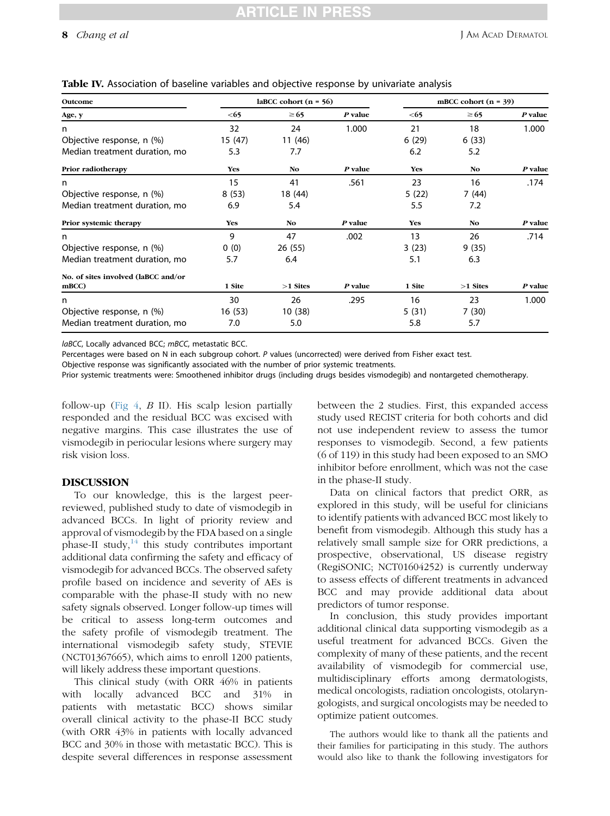| Outcome                             |            | laBCC cohort $(n = 56)$ |         |            | mBCC cohort $(n = 39)$ |         |  |
|-------------------------------------|------------|-------------------------|---------|------------|------------------------|---------|--|
| Age, y                              | < 65       | $\geq 65$               | P value | < 65       | $\geq 65$              | P value |  |
| n.                                  | 32         | 24                      | 1.000   | 21         | 18                     | 1.000   |  |
| Objective response, n (%)           | 15 (47)    | 11 (46)                 |         | 6(29)      | 6(33)                  |         |  |
| Median treatment duration, mo       | 5.3        | 7.7                     |         | 6.2        | 5.2                    |         |  |
| Prior radiotherapy                  | Yes        | N <sub>o</sub>          | P value | <b>Yes</b> | N <sub>o</sub>         | P value |  |
| n                                   | 15         | 41                      | .561    | 23         | 16                     | .174    |  |
| Objective response, n (%)           | 8(53)      | 18 (44)                 |         | 5(22)      | 7 (44)                 |         |  |
| Median treatment duration, mo       | 6.9        | 5.4                     |         | 5.5        | 7.2                    |         |  |
| Prior systemic therapy              | <b>Yes</b> | N <sub>o</sub>          | P value | <b>Yes</b> | N <sub>o</sub>         | P value |  |
| n                                   | 9          | 47                      | .002    | 13         | 26                     | .714    |  |
| Objective response, n (%)           | 0(0)       | 26 (55)                 |         | 3(23)      | 9(35)                  |         |  |
| Median treatment duration, mo       | 5.7        | 6.4                     |         | 5.1        | 6.3                    |         |  |
| No. of sites involved (laBCC and/or |            |                         |         |            |                        |         |  |
| mBCC                                | 1 Site     | $>1$ Sites              | P value | 1 Site     | $>1$ Sites             | P value |  |
| n                                   | 30         | 26                      | .295    | 16         | 23                     | 1.000   |  |
| Objective response, n (%)           | 16 (53)    | 10 (38)                 |         | 5(31)      | 7(30)                  |         |  |
| Median treatment duration, mo       | 7.0        | 5.0                     |         | 5.8        | 5.7                    |         |  |

### <span id="page-7-0"></span>Table IV. Association of baseline variables and objective response by univariate analysis

laBCC, Locally advanced BCC; mBCC, metastatic BCC.

Percentages were based on N in each subgroup cohort. P values (uncorrected) were derived from Fisher exact test.

Objective response was significantly associated with the number of prior systemic treatments.

Prior systemic treatments were: Smoothened inhibitor drugs (including drugs besides vismodegib) and nontargeted chemotherapy.

follow-up (Fig  $4, B$  II). His scalp lesion partially responded and the residual BCC was excised with negative margins. This case illustrates the use of vismodegib in periocular lesions where surgery may risk vision loss.

### DISCUSSION

To our knowledge, this is the largest peerreviewed, published study to date of vismodegib in advanced BCCs. In light of priority review and approval of vismodegib by the FDA based on a single phase-II study,  $14$  this study contributes important additional data confirming the safety and efficacy of vismodegib for advanced BCCs. The observed safety profile based on incidence and severity of AEs is comparable with the phase-II study with no new safety signals observed. Longer follow-up times will be critical to assess long-term outcomes and the safety profile of vismodegib treatment. The international vismodegib safety study, STEVIE (NCT01367665), which aims to enroll 1200 patients, will likely address these important questions.

This clinical study (with ORR 46% in patients with locally advanced BCC and 31% in patients with metastatic BCC) shows similar overall clinical activity to the phase-II BCC study (with ORR 43% in patients with locally advanced BCC and 30% in those with metastatic BCC). This is despite several differences in response assessment between the 2 studies. First, this expanded access study used RECIST criteria for both cohorts and did not use independent review to assess the tumor responses to vismodegib. Second, a few patients (6 of 119) in this study had been exposed to an SMO inhibitor before enrollment, which was not the case in the phase-II study.

Data on clinical factors that predict ORR, as explored in this study, will be useful for clinicians to identify patients with advanced BCC most likely to benefit from vismodegib. Although this study has a relatively small sample size for ORR predictions, a prospective, observational, US disease registry (RegiSONIC; NCT01604252) is currently underway to assess effects of different treatments in advanced BCC and may provide additional data about predictors of tumor response.

In conclusion, this study provides important additional clinical data supporting vismodegib as a useful treatment for advanced BCCs. Given the complexity of many of these patients, and the recent availability of vismodegib for commercial use, multidisciplinary efforts among dermatologists, medical oncologists, radiation oncologists, otolaryngologists, and surgical oncologists may be needed to optimize patient outcomes.

The authors would like to thank all the patients and their families for participating in this study. The authors would also like to thank the following investigators for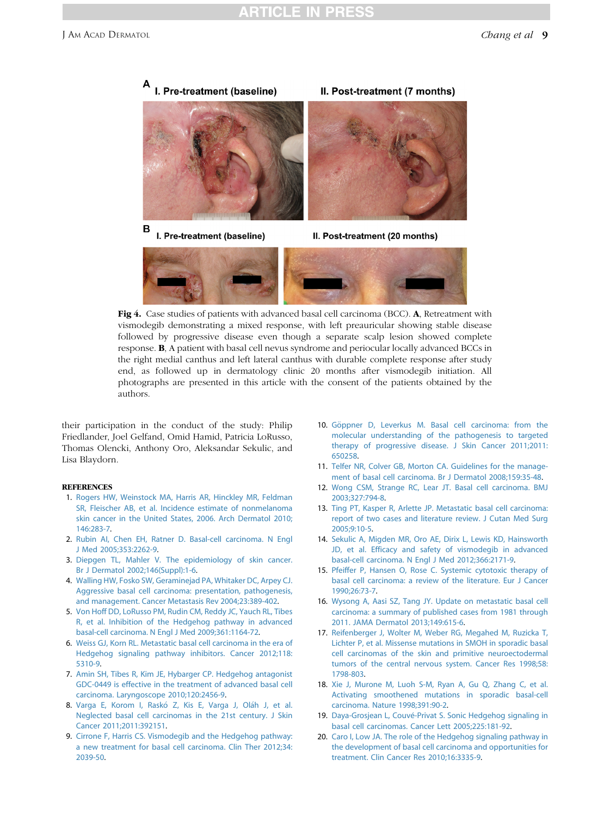<span id="page-8-0"></span>

Fig 4. Case studies of patients with advanced basal cell carcinoma (BCC). A, Retreatment with vismodegib demonstrating a mixed response, with left preauricular showing stable disease followed by progressive disease even though a separate scalp lesion showed complete response. B, A patient with basal cell nevus syndrome and periocular locally advanced BCCs in the right medial canthus and left lateral canthus with durable complete response after study end, as followed up in dermatology clinic 20 months after vismodegib initiation. All photographs are presented in this article with the consent of the patients obtained by the authors.

their participation in the conduct of the study: Philip Friedlander, Joel Gelfand, Omid Hamid, Patricia LoRusso, Thomas Olencki, Anthony Oro, Aleksandar Sekulic, and Lisa Blaydorn.

### **REFERENCES**

- 1. [Rogers HW, Weinstock MA, Harris AR, Hinckley MR, Feldman](http://refhub.elsevier.com/S0190-9622(13)00963-8/sref1) [SR, Fleischer AB, et al. Incidence estimate of nonmelanoma](http://refhub.elsevier.com/S0190-9622(13)00963-8/sref1) [skin cancer in the United States, 2006. Arch Dermatol 2010;](http://refhub.elsevier.com/S0190-9622(13)00963-8/sref1) [146:283-7.](http://refhub.elsevier.com/S0190-9622(13)00963-8/sref1)
- 2. [Rubin AI, Chen EH, Ratner D. Basal-cell carcinoma. N Engl](http://refhub.elsevier.com/S0190-9622(13)00963-8/sref2) [J Med 2005;353:2262-9.](http://refhub.elsevier.com/S0190-9622(13)00963-8/sref2)
- 3. [Diepgen TL, Mahler V. The epidemiology of skin cancer.](http://refhub.elsevier.com/S0190-9622(13)00963-8/sref3) [Br J Dermatol 2002;146\(Suppl\):1-6.](http://refhub.elsevier.com/S0190-9622(13)00963-8/sref3)
- 4. [Walling HW, Fosko SW, Geraminejad PA, Whitaker DC, Arpey CJ.](http://refhub.elsevier.com/S0190-9622(13)00963-8/sref4) [Aggressive basal cell carcinoma: presentation, pathogenesis,](http://refhub.elsevier.com/S0190-9622(13)00963-8/sref4) [and management. Cancer Metastasis Rev 2004;23:389-402](http://refhub.elsevier.com/S0190-9622(13)00963-8/sref4).
- 5. [Von Hoff DD, LoRusso PM, Rudin CM, Reddy JC, Yauch RL, Tibes](http://refhub.elsevier.com/S0190-9622(13)00963-8/sref5) [R, et al. Inhibition of the Hedgehog pathway in advanced](http://refhub.elsevier.com/S0190-9622(13)00963-8/sref5) [basal-cell carcinoma. N Engl J Med 2009;361:1164-72.](http://refhub.elsevier.com/S0190-9622(13)00963-8/sref5)
- 6. [Weiss GJ, Korn RL. Metastatic basal cell carcinoma in the era of](http://refhub.elsevier.com/S0190-9622(13)00963-8/sref6) [Hedgehog signaling pathway inhibitors. Cancer 2012;118:](http://refhub.elsevier.com/S0190-9622(13)00963-8/sref6) [5310-9.](http://refhub.elsevier.com/S0190-9622(13)00963-8/sref6)
- 7. [Amin SH, Tibes R, Kim JE, Hybarger CP. Hedgehog antagonist](http://refhub.elsevier.com/S0190-9622(13)00963-8/sref7) [GDC-0449 is effective in the treatment of advanced basal cell](http://refhub.elsevier.com/S0190-9622(13)00963-8/sref7) [carcinoma. Laryngoscope 2010;120:2456-9.](http://refhub.elsevier.com/S0190-9622(13)00963-8/sref7)
- 8. Varga E, Korom I, Raskó Z, Kis E, Varga J, Oláh J, et al. [Neglected basal cell carcinomas in the 21st century. J Skin](http://refhub.elsevier.com/S0190-9622(13)00963-8/sref8) [Cancer 2011;2011:392151.](http://refhub.elsevier.com/S0190-9622(13)00963-8/sref8)
- 9. [Cirrone F, Harris CS. Vismodegib and the Hedgehog pathway:](http://refhub.elsevier.com/S0190-9622(13)00963-8/sref9) [a new treatment for basal cell carcinoma. Clin Ther 2012;34:](http://refhub.elsevier.com/S0190-9622(13)00963-8/sref9) [2039-50.](http://refhub.elsevier.com/S0190-9622(13)00963-8/sref9)
- 10. [G](http://refhub.elsevier.com/S0190-9622(13)00963-8/sref10)ö[ppner D, Leverkus M. Basal cell carcinoma: from the](http://refhub.elsevier.com/S0190-9622(13)00963-8/sref10) [molecular understanding of the pathogenesis to targeted](http://refhub.elsevier.com/S0190-9622(13)00963-8/sref10) [therapy of progressive disease. J Skin Cancer 2011;2011:](http://refhub.elsevier.com/S0190-9622(13)00963-8/sref10) [650258.](http://refhub.elsevier.com/S0190-9622(13)00963-8/sref10)
- 11. [Telfer NR, Colver GB, Morton CA. Guidelines for the manage](http://refhub.elsevier.com/S0190-9622(13)00963-8/sref11)[ment of basal cell carcinoma. Br J Dermatol 2008;159:35-48](http://refhub.elsevier.com/S0190-9622(13)00963-8/sref11).
- 12. [Wong CSM, Strange RC, Lear JT. Basal cell carcinoma. BMJ](http://refhub.elsevier.com/S0190-9622(13)00963-8/sref12) [2003;327:794-8.](http://refhub.elsevier.com/S0190-9622(13)00963-8/sref12)
- 13. [Ting PT, Kasper R, Arlette JP. Metastatic basal cell carcinoma:](http://refhub.elsevier.com/S0190-9622(13)00963-8/sref13) [report of two cases and literature review. J Cutan Med Surg](http://refhub.elsevier.com/S0190-9622(13)00963-8/sref13) [2005;9:10-5](http://refhub.elsevier.com/S0190-9622(13)00963-8/sref13).
- 14. [Sekulic A, Migden MR, Oro AE, Dirix L, Lewis KD, Hainsworth](http://refhub.elsevier.com/S0190-9622(13)00963-8/sref14) [JD, et al. Efficacy and safety of vismodegib in advanced](http://refhub.elsevier.com/S0190-9622(13)00963-8/sref14) [basal-cell carcinoma. N Engl J Med 2012;366:2171-9.](http://refhub.elsevier.com/S0190-9622(13)00963-8/sref14)
- 15. [Pfeiffer P, Hansen O, Rose C. Systemic cytotoxic therapy of](http://refhub.elsevier.com/S0190-9622(13)00963-8/sref15) [basal cell carcinoma: a review of the literature. Eur J Cancer](http://refhub.elsevier.com/S0190-9622(13)00963-8/sref15) [1990;26:73-7](http://refhub.elsevier.com/S0190-9622(13)00963-8/sref15).
- 16. [Wysong A, Aasi SZ, Tang JY. Update on metastatic basal cell](http://refhub.elsevier.com/S0190-9622(13)00963-8/sref16) [carcinoma: a summary of published cases from 1981 through](http://refhub.elsevier.com/S0190-9622(13)00963-8/sref16) [2011. JAMA Dermatol 2013;149:615-6.](http://refhub.elsevier.com/S0190-9622(13)00963-8/sref16)
- 17. [Reifenberger J, Wolter M, Weber RG, Megahed M, Ruzicka T,](http://refhub.elsevier.com/S0190-9622(13)00963-8/sref17) [Lichter P, et al. Missense mutations in SMOH in sporadic basal](http://refhub.elsevier.com/S0190-9622(13)00963-8/sref17) [cell carcinomas of the skin and primitive neuroectodermal](http://refhub.elsevier.com/S0190-9622(13)00963-8/sref17) [tumors of the central nervous system. Cancer Res 1998;58:](http://refhub.elsevier.com/S0190-9622(13)00963-8/sref17) [1798-803](http://refhub.elsevier.com/S0190-9622(13)00963-8/sref17).
- 18. [Xie J, Murone M, Luoh S-M, Ryan A, Gu Q, Zhang C, et al.](http://refhub.elsevier.com/S0190-9622(13)00963-8/sref18) [Activating smoothened mutations in sporadic basal-cell](http://refhub.elsevier.com/S0190-9622(13)00963-8/sref18) [carcinoma. Nature 1998;391:90-2.](http://refhub.elsevier.com/S0190-9622(13)00963-8/sref18)
- 19. [Daya-Grosjean L, Couv](http://refhub.elsevier.com/S0190-9622(13)00963-8/sref19)é[-Privat S. Sonic Hedgehog signaling in](http://refhub.elsevier.com/S0190-9622(13)00963-8/sref19) [basal cell carcinomas. Cancer Lett 2005;225:181-92](http://refhub.elsevier.com/S0190-9622(13)00963-8/sref19).
- 20. [Caro I, Low JA. The role of the Hedgehog signaling pathway in](http://refhub.elsevier.com/S0190-9622(13)00963-8/sref20) [the development of basal cell carcinoma and opportunities for](http://refhub.elsevier.com/S0190-9622(13)00963-8/sref20) [treatment. Clin Cancer Res 2010;16:3335-9](http://refhub.elsevier.com/S0190-9622(13)00963-8/sref20).